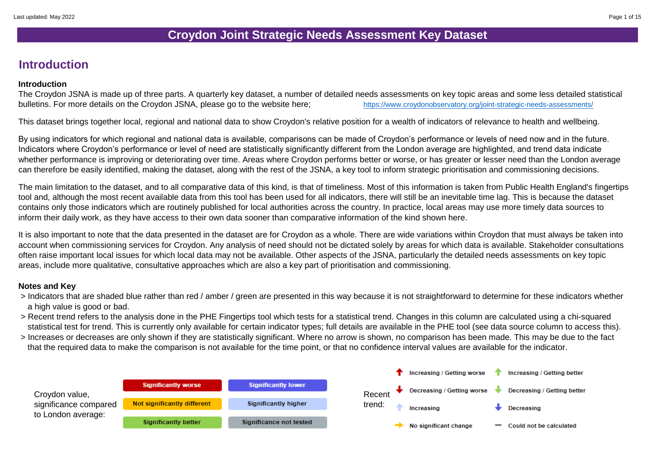The Croydon JSNA is made up of three parts. A quarterly key dataset, a number of detailed needs assessments on key topic areas and some less detailed statistical bulletins. For more details on the Croydon JSNA, please go to the website here;<br> <https://www.croydonobservatory.org/joint-strategic-needs-assessments/>

#### **Introduction**

#### **Introduction**

This dataset brings together local, regional and national data to show Croydon's relative position for a wealth of indicators of relevance to health and wellbeing.

By using indicators for which regional and national data is available, comparisons can be made of Croydon's performance or levels of need now and in the future. Indicators where Croydon's performance or level of need are statistically significantly different from the London average are highlighted, and trend data indicate whether performance is improving or deteriorating over time. Areas where Croydon performs better or worse, or has greater or lesser need than the London average can therefore be easily identified, making the dataset, along with the rest of the JSNA, a key tool to inform strategic prioritisation and commissioning decisions.

The main limitation to the dataset, and to all comparative data of this kind, is that of timeliness. Most of this information is taken from Public Health England's fingertips tool and, although the most recent available data from this tool has been used for all indicators, there will still be an inevitable time lag. This is because the dataset contains only those indicators which are routinely published for local authorities across the country. In practice, local areas may use more timely data sources to inform their daily work, as they have access to their own data sooner than comparative information of the kind shown here.

It is also important to note that the data presented in the dataset are for Croydon as a whole. There are wide variations within Croydon that must always be taken into account when commissioning services for Croydon. Any analysis of need should not be dictated solely by areas for which data is available. Stakeholder consultations often raise important local issues for which local data may not be available. Other aspects of the JSNA, particularly the detailed needs assessments on key topic areas, include more qualitative, consultative approaches which are also a key part of prioritisation and commissioning.

#### **Notes and Key**

- > Indicators that are shaded blue rather than red / amber / green are presented in this way because it is not straightforward to determine for these indicators whether a high value is good or bad.
- > Recent trend refers to the analysis done in the PHE Fingertips tool which tests for a statistical trend. Changes in this column are calculated using a chi-squared statistical test for trend. This is currently only available for certain indicator types; full details are available in the PHE tool (see data source column to access this).
- > Increases or decreases are only shown if they are statistically significant. Where no arrow is shown, no comparison has been made. This may be due to the fact that the required data to make the comparison is not available for the time point, or that no confidence interval values are available for the indicator.

#### **Croydon Joint Strategic Needs Assessment Key Dataset**

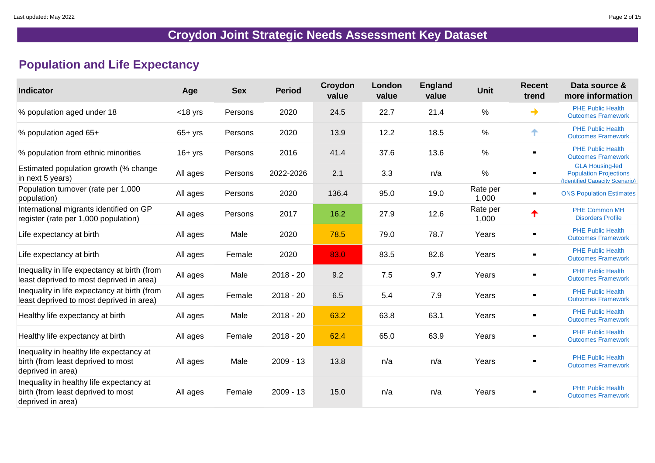### **Population and Life Expectancy**

| <b>Indicator</b>                                                                                    | Age        | <b>Sex</b> | <b>Period</b> | Croydon<br>value | London<br>value | <b>England</b><br>value | <b>Unit</b>       | <b>Recent</b><br>trend | Data source &<br>more information                                                                |
|-----------------------------------------------------------------------------------------------------|------------|------------|---------------|------------------|-----------------|-------------------------|-------------------|------------------------|--------------------------------------------------------------------------------------------------|
| % population aged under 18                                                                          | $<$ 18 yrs | Persons    | 2020          | 24.5             | 22.7            | 21.4                    | $\frac{0}{0}$     |                        | <b>PHE Public Health</b><br><b>Outcomes Framework</b>                                            |
| % population aged 65+                                                                               | $65+$ yrs  | Persons    | 2020          | 13.9             | 12.2            | 18.5                    | $\%$              | ↑                      | <b>PHE Public Health</b><br><b>Outcomes Framework</b>                                            |
| % population from ethnic minorities                                                                 | 16+ yrs    | Persons    | 2016          | 41.4             | 37.6            | 13.6                    | $\%$              |                        | <b>PHE Public Health</b><br><b>Outcomes Framework</b>                                            |
| Estimated population growth (% change<br>in next 5 years)                                           | All ages   | Persons    | 2022-2026     | 2.1              | 3.3             | n/a                     | $\%$              |                        | <b>GLA Housing-led</b><br><b>Population Projections</b><br><b>(Identified Capacity Scenario)</b> |
| Population turnover (rate per 1,000<br>population)                                                  | All ages   | Persons    | 2020          | 136.4            | 95.0            | 19.0                    | Rate per<br>1,000 | $\blacksquare$         | <b>ONS Population Estimates</b>                                                                  |
| International migrants identified on GP<br>register (rate per 1,000 population)                     | All ages   | Persons    | 2017          | 16.2             | 27.9            | 12.6                    | Rate per<br>1,000 | ↑                      | <b>PHE Common MH</b><br><b>Disorders Profile</b>                                                 |
| Life expectancy at birth                                                                            | All ages   | Male       | 2020          | 78.5             | 79.0            | 78.7                    | Years             | $\blacksquare$         | <b>PHE Public Health</b><br><b>Outcomes Framework</b>                                            |
| Life expectancy at birth                                                                            | All ages   | Female     | 2020          | 83.0             | 83.5            | 82.6                    | Years             |                        | <b>PHE Public Health</b><br><b>Outcomes Framework</b>                                            |
| Inequality in life expectancy at birth (from<br>least deprived to most deprived in area)            | All ages   | Male       | $2018 - 20$   | 9.2              | 7.5             | 9.7                     | Years             | $\blacksquare$         | <b>PHE Public Health</b><br><b>Outcomes Framework</b>                                            |
| Inequality in life expectancy at birth (from<br>least deprived to most deprived in area)            | All ages   | Female     | $2018 - 20$   | 6.5              | 5.4             | 7.9                     | Years             |                        | <b>PHE Public Health</b><br><b>Outcomes Framework</b>                                            |
| Healthy life expectancy at birth                                                                    | All ages   | Male       | $2018 - 20$   | 63.2             | 63.8            | 63.1                    | Years             | $\blacksquare$         | <b>PHE Public Health</b><br><b>Outcomes Framework</b>                                            |
| Healthy life expectancy at birth                                                                    | All ages   | Female     | $2018 - 20$   | 62.4             | 65.0            | 63.9                    | Years             | $\blacksquare$         | <b>PHE Public Health</b><br><b>Outcomes Framework</b>                                            |
| Inequality in healthy life expectancy at<br>birth (from least deprived to most<br>deprived in area) | All ages   | Male       | $2009 - 13$   | 13.8             | n/a             | n/a                     | Years             | $\blacksquare$         | <b>PHE Public Health</b><br><b>Outcomes Framework</b>                                            |
| Inequality in healthy life expectancy at<br>birth (from least deprived to most<br>deprived in area) | All ages   | Female     | $2009 - 13$   | 15.0             | n/a             | n/a                     | Years             | $\blacksquare$         | <b>PHE Public Health</b><br><b>Outcomes Framework</b>                                            |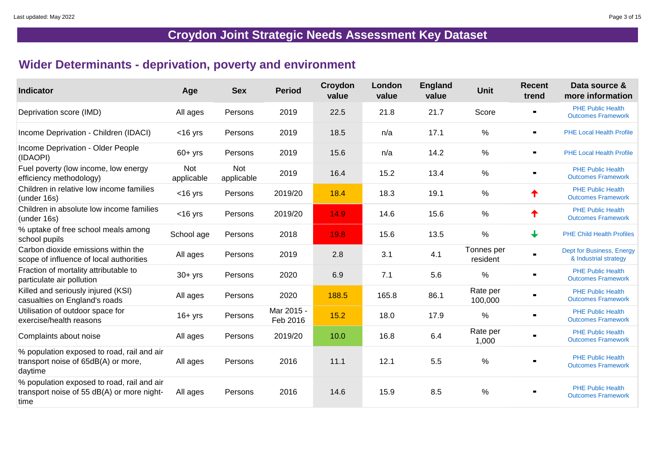### **Wider Determinants - deprivation, poverty and environment**

| <b>Indicator</b>                                                                                 | Age                      | <b>Sex</b>               | <b>Period</b>          | Croydon<br>value | London<br>value | <b>England</b><br>value | <b>Unit</b>            | <b>Recent</b><br>trend | Data source &<br>more information                     |
|--------------------------------------------------------------------------------------------------|--------------------------|--------------------------|------------------------|------------------|-----------------|-------------------------|------------------------|------------------------|-------------------------------------------------------|
| Deprivation score (IMD)                                                                          | All ages                 | Persons                  | 2019                   | 22.5             | 21.8            | 21.7                    | Score                  |                        | <b>PHE Public Health</b><br><b>Outcomes Framework</b> |
| Income Deprivation - Children (IDACI)                                                            | $<$ 16 yrs               | Persons                  | 2019                   | 18.5             | n/a             | 17.1                    | $\frac{0}{0}$          | $\blacksquare$         | <b>PHE Local Health Profile</b>                       |
| Income Deprivation - Older People<br>(IDAOPI)                                                    | $60 + yrs$               | Persons                  | 2019                   | 15.6             | n/a             | 14.2                    | $\%$                   | $\blacksquare$         | <b>PHE Local Health Profile</b>                       |
| Fuel poverty (low income, low energy<br>efficiency methodology)                                  | <b>Not</b><br>applicable | <b>Not</b><br>applicable | 2019                   | 16.4             | 15.2            | 13.4                    | $\%$                   |                        | <b>PHE Public Health</b><br><b>Outcomes Framework</b> |
| Children in relative low income families<br>(under 16s)                                          | $<$ 16 yrs               | Persons                  | 2019/20                | 18.4             | 18.3            | 19.1                    | $\frac{0}{0}$          | ↑                      | <b>PHE Public Health</b><br><b>Outcomes Framework</b> |
| Children in absolute low income families<br>(under 16s)                                          | $<$ 16 yrs               | Persons                  | 2019/20                | 14.9             | 14.6            | 15.6                    | $\%$                   | ↑                      | <b>PHE Public Health</b><br><b>Outcomes Framework</b> |
| % uptake of free school meals among<br>school pupils                                             | School age               | Persons                  | 2018                   | 19.8             | 15.6            | 13.5                    | $\%$                   | $\downarrow$           | <b>PHE Child Health Profiles</b>                      |
| Carbon dioxide emissions within the<br>scope of influence of local authorities                   | All ages                 | Persons                  | 2019                   | 2.8              | 3.1             | 4.1                     | Tonnes per<br>resident | $\blacksquare$         | Dept for Business, Energy<br>& Industrial strategy    |
| Fraction of mortality attributable to<br>particulate air pollution                               | $30 + yrs$               | Persons                  | 2020                   | 6.9              | 7.1             | 5.6                     | $\frac{0}{0}$          |                        | <b>PHE Public Health</b><br><b>Outcomes Framework</b> |
| Killed and seriously injured (KSI)<br>casualties on England's roads                              | All ages                 | Persons                  | 2020                   | 188.5            | 165.8           | 86.1                    | Rate per<br>100,000    |                        | <b>PHE Public Health</b><br><b>Outcomes Framework</b> |
| Utilisation of outdoor space for<br>exercise/health reasons                                      | $16 + yrs$               | Persons                  | Mar 2015 -<br>Feb 2016 | 15.2             | 18.0            | 17.9                    | $\%$                   | $\blacksquare$         | <b>PHE Public Health</b><br><b>Outcomes Framework</b> |
| Complaints about noise                                                                           | All ages                 | Persons                  | 2019/20                | 10.0             | 16.8            | 6.4                     | Rate per<br>1,000      | $\blacksquare$         | <b>PHE Public Health</b><br><b>Outcomes Framework</b> |
| % population exposed to road, rail and air<br>transport noise of 65dB(A) or more,<br>daytime     | All ages                 | Persons                  | 2016                   | 11.1             | 12.1            | 5.5                     | $\frac{0}{0}$          |                        | <b>PHE Public Health</b><br><b>Outcomes Framework</b> |
| % population exposed to road, rail and air<br>transport noise of 55 dB(A) or more night-<br>time | All ages                 | Persons                  | 2016                   | 14.6             | 15.9            | 8.5                     | %                      |                        | <b>PHE Public Health</b><br><b>Outcomes Framework</b> |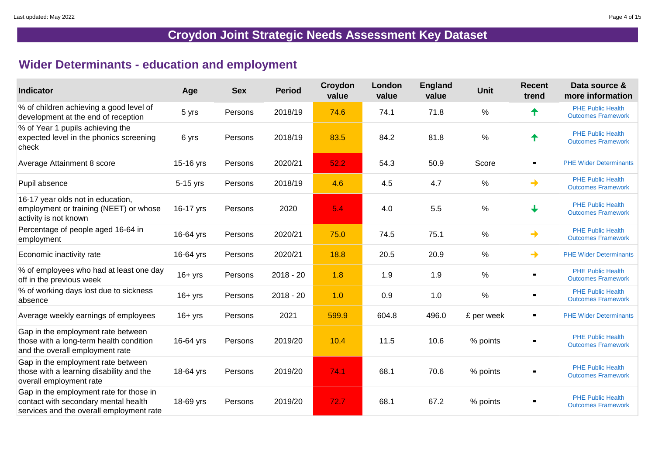### **Wider Determinants - education and employment**

| <b>Indicator</b>                                                                                                            | Age         | <b>Sex</b> | <b>Period</b> | Croydon<br>value | London<br>value | <b>England</b><br>value | <b>Unit</b>   | <b>Recent</b><br>trend | Data source &<br>more information                     |
|-----------------------------------------------------------------------------------------------------------------------------|-------------|------------|---------------|------------------|-----------------|-------------------------|---------------|------------------------|-------------------------------------------------------|
| % of children achieving a good level of<br>development at the end of reception                                              | 5 yrs       | Persons    | 2018/19       | 74.6             | 74.1            | 71.8                    | $\%$          |                        | <b>PHE Public Health</b><br><b>Outcomes Framework</b> |
| % of Year 1 pupils achieving the<br>expected level in the phonics screening<br>check                                        | 6 yrs       | Persons    | 2018/19       | 83.5             | 84.2            | 81.8                    | $\frac{0}{0}$ |                        | <b>PHE Public Health</b><br><b>Outcomes Framework</b> |
| <b>Average Attainment 8 score</b>                                                                                           | 15-16 yrs   | Persons    | 2020/21       | 52.2             | 54.3            | 50.9                    | Score         | $\blacksquare$         | <b>PHE Wider Determinants</b>                         |
| Pupil absence                                                                                                               | $5-15$ yrs  | Persons    | 2018/19       | 4.6              | 4.5             | 4.7                     | $\%$          | $\rightarrow$          | <b>PHE Public Health</b><br><b>Outcomes Framework</b> |
| 16-17 year olds not in education,<br>employment or training (NEET) or whose<br>activity is not known                        | 16-17 yrs   | Persons    | 2020          | 5.4              | 4.0             | 5.5                     | $\%$          |                        | <b>PHE Public Health</b><br><b>Outcomes Framework</b> |
| Percentage of people aged 16-64 in<br>employment                                                                            | 16-64 yrs   | Persons    | 2020/21       | 75.0             | 74.5            | 75.1                    | $\frac{0}{0}$ | →                      | <b>PHE Public Health</b><br><b>Outcomes Framework</b> |
| Economic inactivity rate                                                                                                    | 16-64 yrs   | Persons    | 2020/21       | 18.8             | 20.5            | 20.9                    | $\frac{0}{0}$ | $\rightarrow$          | <b>PHE Wider Determinants</b>                         |
| % of employees who had at least one day<br>off in the previous week                                                         | $16 + yrs$  | Persons    | $2018 - 20$   | 1.8              | 1.9             | 1.9                     | $\frac{0}{0}$ |                        | <b>PHE Public Health</b><br><b>Outcomes Framework</b> |
| % of working days lost due to sickness<br>absence                                                                           | $16 + yrs$  | Persons    | $2018 - 20$   | 1.0              | 0.9             | 1.0                     | $\%$          | $\blacksquare$         | <b>PHE Public Health</b><br><b>Outcomes Framework</b> |
| Average weekly earnings of employees                                                                                        | $16 + yrs$  | Persons    | 2021          | 599.9            | 604.8           | 496.0                   | £ per week    | $\blacksquare$         | <b>PHE Wider Determinants</b>                         |
| Gap in the employment rate between<br>those with a long-term health condition<br>and the overall employment rate            | 16-64 $yrs$ | Persons    | 2019/20       | 10.4             | 11.5            | 10.6                    | % points      |                        | <b>PHE Public Health</b><br><b>Outcomes Framework</b> |
| Gap in the employment rate between<br>those with a learning disability and the<br>overall employment rate                   | 18-64 $yrs$ | Persons    | 2019/20       | 74.1             | 68.1            | 70.6                    | % points      | $\blacksquare$         | <b>PHE Public Health</b><br><b>Outcomes Framework</b> |
| Gap in the employment rate for those in<br>contact with secondary mental health<br>services and the overall employment rate | 18-69 yrs   | Persons    | 2019/20       | 72.7             | 68.1            | 67.2                    | % points      | $\blacksquare$         | <b>PHE Public Health</b><br><b>Outcomes Framework</b> |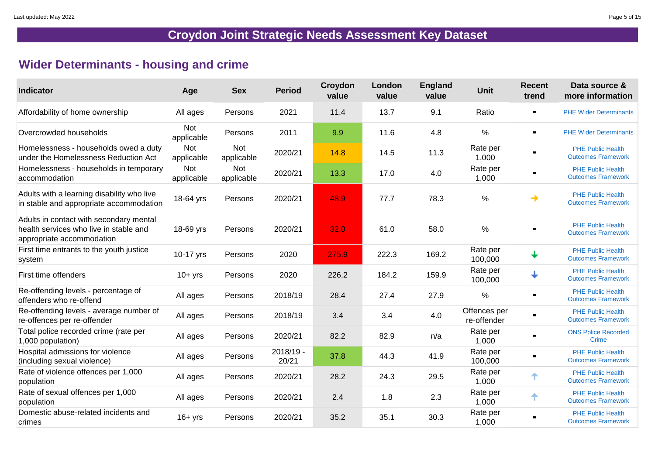### **Wider Determinants - housing and crime**

| <b>Indicator</b>                                                                                               | Age                      | <b>Sex</b>               | <b>Period</b>      | Croydon<br>value | London<br>value | <b>England</b><br>value | <b>Unit</b>                 | <b>Recent</b><br>trend | Data source &<br>more information                     |
|----------------------------------------------------------------------------------------------------------------|--------------------------|--------------------------|--------------------|------------------|-----------------|-------------------------|-----------------------------|------------------------|-------------------------------------------------------|
| Affordability of home ownership                                                                                | All ages                 | Persons                  | 2021               | 11.4             | 13.7            | 9.1                     | Ratio                       | $\blacksquare$         | <b>PHE Wider Determinants</b>                         |
| Overcrowded households                                                                                         | <b>Not</b><br>applicable | Persons                  | 2011               | 9.9              | 11.6            | 4.8                     | $\%$                        | $\blacksquare$         | <b>PHE Wider Determinants</b>                         |
| Homelessness - households owed a duty<br>under the Homelessness Reduction Act                                  | <b>Not</b><br>applicable | <b>Not</b><br>applicable | 2020/21            | 14.8             | 14.5            | 11.3                    | Rate per<br>1,000           | $\blacksquare$         | <b>PHE Public Health</b><br><b>Outcomes Framework</b> |
| Homelessness - households in temporary<br>accommodation                                                        | <b>Not</b><br>applicable | <b>Not</b><br>applicable | 2020/21            | 13.3             | 17.0            | 4.0                     | Rate per<br>1,000           | $\blacksquare$         | <b>PHE Public Health</b><br><b>Outcomes Framework</b> |
| Adults with a learning disability who live<br>in stable and appropriate accommodation                          | 18-64 yrs                | Persons                  | 2020/21            | 48.9             | 77.7            | 78.3                    | $\%$                        | →                      | <b>PHE Public Health</b><br><b>Outcomes Framework</b> |
| Adults in contact with secondary mental<br>health services who live in stable and<br>appropriate accommodation | 18-69 yrs                | Persons                  | 2020/21            | 32.0             | 61.0            | 58.0                    | $\%$                        |                        | <b>PHE Public Health</b><br><b>Outcomes Framework</b> |
| First time entrants to the youth justice<br>system                                                             | 10-17 yrs                | Persons                  | 2020               | 275.9            | 222.3           | 169.2                   | Rate per<br>100,000         |                        | <b>PHE Public Health</b><br><b>Outcomes Framework</b> |
| First time offenders                                                                                           | $10+$ yrs                | Persons                  | 2020               | 226.2            | 184.2           | 159.9                   | Rate per<br>100,000         | $\downarrow$           | <b>PHE Public Health</b><br><b>Outcomes Framework</b> |
| Re-offending levels - percentage of<br>offenders who re-offend                                                 | All ages                 | Persons                  | 2018/19            | 28.4             | 27.4            | 27.9                    | $\frac{0}{0}$               | $\blacksquare$         | <b>PHE Public Health</b><br><b>Outcomes Framework</b> |
| Re-offending levels - average number of<br>re-offences per re-offender                                         | All ages                 | Persons                  | 2018/19            | 3.4              | 3.4             | 4.0                     | Offences per<br>re-offender | $\blacksquare$         | <b>PHE Public Health</b><br><b>Outcomes Framework</b> |
| Total police recorded crime (rate per<br>1,000 population)                                                     | All ages                 | Persons                  | 2020/21            | 82.2             | 82.9            | n/a                     | Rate per<br>1,000           | $\blacksquare$         | <b>ONS Police Recorded</b><br><b>Crime</b>            |
| Hospital admissions for violence<br>(including sexual violence)                                                | All ages                 | Persons                  | 2018/19 -<br>20/21 | 37.8             | 44.3            | 41.9                    | Rate per<br>100,000         | $\blacksquare$         | <b>PHE Public Health</b><br><b>Outcomes Framework</b> |
| Rate of violence offences per 1,000<br>population                                                              | All ages                 | Persons                  | 2020/21            | 28.2             | 24.3            | 29.5                    | Rate per<br>1,000           | ↑                      | <b>PHE Public Health</b><br><b>Outcomes Framework</b> |
| Rate of sexual offences per 1,000<br>population                                                                | All ages                 | Persons                  | 2020/21            | 2.4              | 1.8             | 2.3                     | Rate per<br>1,000           | ₳                      | <b>PHE Public Health</b><br><b>Outcomes Framework</b> |
| Domestic abuse-related incidents and<br>crimes                                                                 | $16 + yrs$               | Persons                  | 2020/21            | 35.2             | 35.1            | 30.3                    | Rate per<br>1,000           | $\blacksquare$         | <b>PHE Public Health</b><br><b>Outcomes Framework</b> |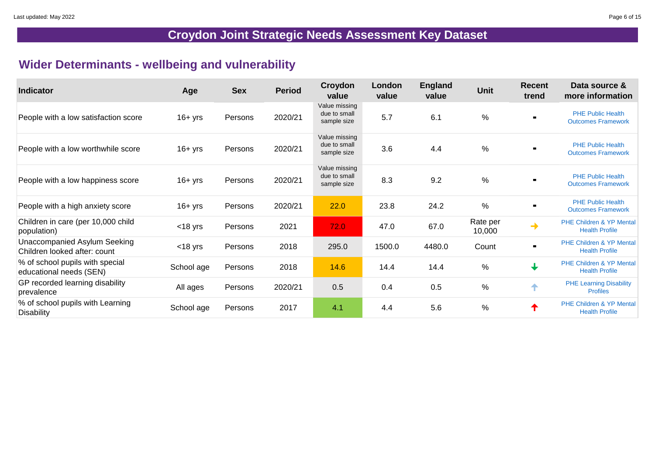### **Wider Determinants - wellbeing and vulnerability**

| <b>Indicator</b>                                             | Age        | <b>Sex</b> | <b>Period</b> | Croydon<br>value                             | London<br>value | <b>England</b><br>value | <b>Unit</b>        | <b>Recent</b><br>trend                                         | Data source &<br>more information                            |
|--------------------------------------------------------------|------------|------------|---------------|----------------------------------------------|-----------------|-------------------------|--------------------|----------------------------------------------------------------|--------------------------------------------------------------|
| People with a low satisfaction score                         | $16 + yrs$ | Persons    | 2020/21       | Value missing<br>due to small<br>sample size | 5.7             | 6.1                     | $\frac{0}{0}$      |                                                                | <b>PHE Public Health</b><br><b>Outcomes Framework</b>        |
| People with a low worthwhile score                           | $16 + yrs$ | Persons    | 2020/21       | Value missing<br>due to small<br>sample size | 3.6             | 4.4                     | $\frac{0}{0}$      |                                                                | <b>PHE Public Health</b><br><b>Outcomes Framework</b>        |
| People with a low happiness score                            | $16 + yrs$ | Persons    | 2020/21       | Value missing<br>due to small<br>sample size | 8.3             | 9.2                     | $\frac{0}{0}$      | $\blacksquare$                                                 | <b>PHE Public Health</b><br><b>Outcomes Framework</b>        |
| People with a high anxiety score                             | $16 + yrs$ | Persons    | 2020/21       | 22.0                                         | 23.8            | 24.2                    | $\frac{0}{0}$      | $\blacksquare$                                                 | <b>PHE Public Health</b><br><b>Outcomes Framework</b>        |
| Children in care (per 10,000 child<br>population)            | $<$ 18 yrs | Persons    | 2021          | 72.0                                         | 47.0            | 67.0                    | Rate per<br>10,000 | $\begin{array}{c}\n\bullet \\ \bullet \\ \bullet\n\end{array}$ | <b>PHE Children &amp; YP Mental</b><br><b>Health Profile</b> |
| Unaccompanied Asylum Seeking<br>Children looked after: count | $<$ 18 yrs | Persons    | 2018          | 295.0                                        | 1500.0          | 4480.0                  | Count              | $\blacksquare$                                                 | <b>PHE Children &amp; YP Mental</b><br><b>Health Profile</b> |
| % of school pupils with special<br>educational needs (SEN)   | School age | Persons    | 2018          | 14.6                                         | 14.4            | 14.4                    | $\frac{0}{0}$      | $\downarrow$                                                   | <b>PHE Children &amp; YP Mental</b><br><b>Health Profile</b> |
| GP recorded learning disability<br>prevalence                | All ages   | Persons    | 2020/21       | 0.5                                          | 0.4             | 0.5                     | $\frac{0}{0}$      | 个                                                              | <b>PHE Learning Disability</b><br><b>Profiles</b>            |
| % of school pupils with Learning<br><b>Disability</b>        | School age | Persons    | 2017          | 4.1                                          | 4.4             | 5.6                     | $\%$               | ✦                                                              | <b>PHE Children &amp; YP Mental</b><br><b>Health Profile</b> |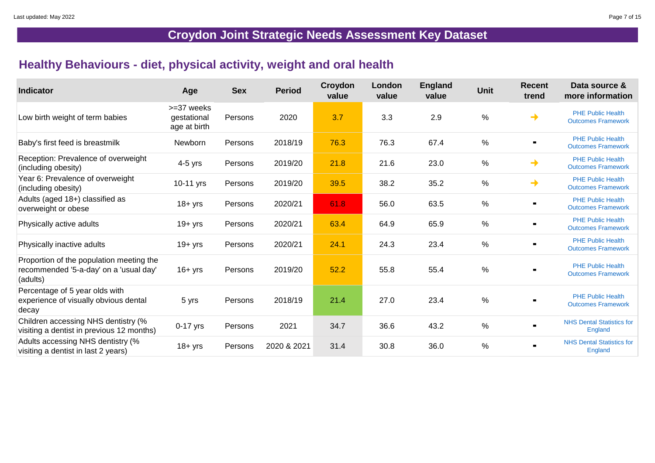### **Healthy Behaviours - diet, physical activity, weight and oral health**

| <b>Indicator</b>                                                                               | Age                                       | <b>Sex</b> | <b>Period</b> | Croydon<br>value | London<br>value | <b>England</b><br>value | <b>Unit</b>   | <b>Recent</b><br>trend | Data source &<br>more information                     |
|------------------------------------------------------------------------------------------------|-------------------------------------------|------------|---------------|------------------|-----------------|-------------------------|---------------|------------------------|-------------------------------------------------------|
| Low birth weight of term babies                                                                | >=37 weeks<br>gestational<br>age at birth | Persons    | 2020          | 3.7              | 3.3             | 2.9                     | $\frac{0}{0}$ | →                      | <b>PHE Public Health</b><br><b>Outcomes Framework</b> |
| Baby's first feed is breastmilk                                                                | Newborn                                   | Persons    | 2018/19       | 76.3             | 76.3            | 67.4                    | $\frac{0}{0}$ |                        | <b>PHE Public Health</b><br><b>Outcomes Framework</b> |
| Reception: Prevalence of overweight<br>(including obesity)                                     | $4-5$ yrs                                 | Persons    | 2019/20       | 21.8             | 21.6            | 23.0                    | $\frac{0}{0}$ | →                      | <b>PHE Public Health</b><br><b>Outcomes Framework</b> |
| Year 6: Prevalence of overweight<br>(including obesity)                                        | 10-11 yrs                                 | Persons    | 2019/20       | 39.5             | 38.2            | 35.2                    | $\frac{0}{0}$ | $\rightarrow$          | <b>PHE Public Health</b><br><b>Outcomes Framework</b> |
| Adults (aged 18+) classified as<br>overweight or obese                                         | $18 + yrs$                                | Persons    | 2020/21       | 61.8             | 56.0            | 63.5                    | $\%$          | $\blacksquare$         | <b>PHE Public Health</b><br><b>Outcomes Framework</b> |
| Physically active adults                                                                       | 19+ yrs                                   | Persons    | 2020/21       | 63.4             | 64.9            | 65.9                    | $\frac{0}{0}$ |                        | <b>PHE Public Health</b><br><b>Outcomes Framework</b> |
| Physically inactive adults                                                                     | 19+ yrs                                   | Persons    | 2020/21       | 24.1             | 24.3            | 23.4                    | $\frac{0}{0}$ | $\blacksquare$         | <b>PHE Public Health</b><br><b>Outcomes Framework</b> |
| Proportion of the population meeting the<br>recommended '5-a-day' on a 'usual day'<br>(adults) | $16 + yrs$                                | Persons    | 2019/20       | 52.2             | 55.8            | 55.4                    | $\frac{0}{0}$ | $\blacksquare$         | <b>PHE Public Health</b><br><b>Outcomes Framework</b> |
| Percentage of 5 year olds with<br>experience of visually obvious dental<br>decay               | 5 yrs                                     | Persons    | 2018/19       | 21.4             | 27.0            | 23.4                    | $\frac{0}{0}$ | $\blacksquare$         | <b>PHE Public Health</b><br><b>Outcomes Framework</b> |
| Children accessing NHS dentistry (%<br>visiting a dentist in previous 12 months)               | $0-17$ yrs                                | Persons    | 2021          | 34.7             | 36.6            | 43.2                    | $\%$          | $\blacksquare$         | <b>NHS Dental Statistics for</b><br><b>England</b>    |
| Adults accessing NHS dentistry (%<br>visiting a dentist in last 2 years)                       | $18 + yrs$                                | Persons    | 2020 & 2021   | 31.4             | 30.8            | 36.0                    | $\frac{0}{0}$ | $\blacksquare$         | <b>NHS Dental Statistics for</b><br><b>England</b>    |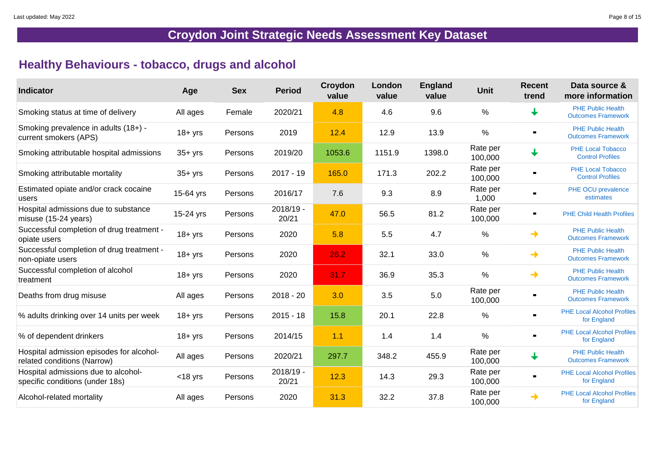### **Healthy Behaviours - tobacco, drugs and alcohol**

| <b>Indicator</b>                                                        | Age        | <b>Sex</b> | <b>Period</b>      | Croydon<br>value | London<br>value | <b>England</b><br>value | <b>Unit</b>         | <b>Recent</b><br>trend | Data source &<br>more information                     |
|-------------------------------------------------------------------------|------------|------------|--------------------|------------------|-----------------|-------------------------|---------------------|------------------------|-------------------------------------------------------|
| Smoking status at time of delivery                                      | All ages   | Female     | 2020/21            | 4.8              | 4.6             | 9.6                     | $\frac{0}{0}$       |                        | <b>PHE Public Health</b><br><b>Outcomes Framework</b> |
| Smoking prevalence in adults (18+) -<br>current smokers (APS)           | $18 + yrs$ | Persons    | 2019               | 12.4             | 12.9            | 13.9                    | %                   |                        | <b>PHE Public Health</b><br><b>Outcomes Framework</b> |
| Smoking attributable hospital admissions                                | $35 + yrs$ | Persons    | 2019/20            | 1053.6           | 1151.9          | 1398.0                  | Rate per<br>100,000 |                        | <b>PHE Local Tobacco</b><br><b>Control Profiles</b>   |
| Smoking attributable mortality                                          | $35 + yrs$ | Persons    | $2017 - 19$        | 165.0            | 171.3           | 202.2                   | Rate per<br>100,000 |                        | <b>PHE Local Tobacco</b><br><b>Control Profiles</b>   |
| Estimated opiate and/or crack cocaine<br>users                          | 15-64 yrs  | Persons    | 2016/17            | 7.6              | 9.3             | 8.9                     | Rate per<br>1,000   |                        | PHE OCU prevalence<br>estimates                       |
| Hospital admissions due to substance<br>misuse (15-24 years)            | 15-24 yrs  | Persons    | 2018/19 -<br>20/21 | 47.0             | 56.5            | 81.2                    | Rate per<br>100,000 | $\blacksquare$         | <b>PHE Child Health Profiles</b>                      |
| Successful completion of drug treatment -<br>opiate users               | $18 + yrs$ | Persons    | 2020               | 5.8              | 5.5             | 4.7                     | $\%$                | $\rightarrow$          | <b>PHE Public Health</b><br><b>Outcomes Framework</b> |
| Successful completion of drug treatment -<br>non-opiate users           | $18 + yrs$ | Persons    | 2020               | 26.2             | 32.1            | 33.0                    | $\%$                | $\rightarrow$          | <b>PHE Public Health</b><br><b>Outcomes Framework</b> |
| Successful completion of alcohol<br>treatment                           | $18 + yrs$ | Persons    | 2020               | 31.7             | 36.9            | 35.3                    | $\frac{0}{0}$       | $\rightarrow$          | <b>PHE Public Health</b><br><b>Outcomes Framework</b> |
| Deaths from drug misuse                                                 | All ages   | Persons    | $2018 - 20$        | 3.0              | 3.5             | 5.0                     | Rate per<br>100,000 |                        | <b>PHE Public Health</b><br><b>Outcomes Framework</b> |
| % adults drinking over 14 units per week                                | $18 + yrs$ | Persons    | $2015 - 18$        | 15.8             | 20.1            | 22.8                    | $\%$                | $\blacksquare$         | <b>PHE Local Alcohol Profiles</b><br>for England      |
| % of dependent drinkers                                                 | $18 + yrs$ | Persons    | 2014/15            | 1.1              | 1.4             | 1.4                     | $\frac{0}{0}$       | $\blacksquare$         | <b>PHE Local Alcohol Profiles</b><br>for England      |
| Hospital admission episodes for alcohol-<br>related conditions (Narrow) | All ages   | Persons    | 2020/21            | 297.7            | 348.2           | 455.9                   | Rate per<br>100,000 | $\downarrow$           | <b>PHE Public Health</b><br><b>Outcomes Framework</b> |
| Hospital admissions due to alcohol-<br>specific conditions (under 18s)  | $<$ 18 yrs | Persons    | 2018/19 -<br>20/21 | 12.3             | 14.3            | 29.3                    | Rate per<br>100,000 | $\blacksquare$         | <b>PHE Local Alcohol Profiles</b><br>for England      |
| Alcohol-related mortality                                               | All ages   | Persons    | 2020               | 31.3             | 32.2            | 37.8                    | Rate per<br>100,000 | $\rightarrow$          | <b>PHE Local Alcohol Profiles</b><br>for England      |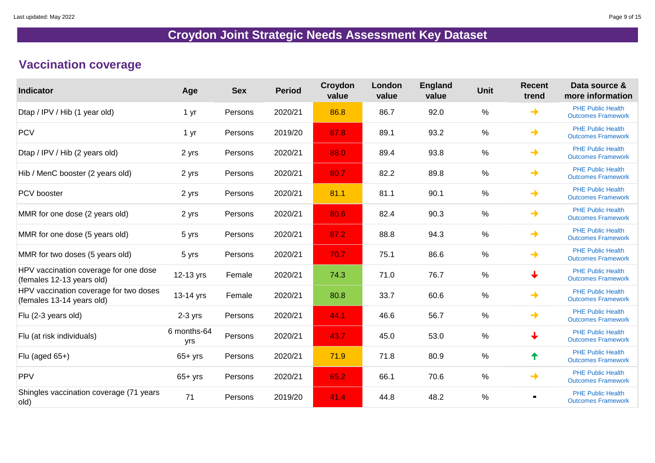### **Vaccination coverage**

| <b>Indicator</b>                                                    | Age                | <b>Sex</b> | <b>Period</b> | Croydon<br>value | London<br>value | <b>England</b><br>value | <b>Unit</b>   | <b>Recent</b><br>trend | Data source &<br>more information                     |
|---------------------------------------------------------------------|--------------------|------------|---------------|------------------|-----------------|-------------------------|---------------|------------------------|-------------------------------------------------------|
| Dtap / IPV / Hib (1 year old)                                       | 1 yr               | Persons    | 2020/21       | 86.8             | 86.7            | 92.0                    | $\%$          | $\rightarrow$          | <b>PHE Public Health</b><br><b>Outcomes Framework</b> |
| <b>PCV</b>                                                          | 1 yr               | Persons    | 2019/20       | 87.8             | 89.1            | 93.2                    | $\frac{0}{0}$ | →                      | <b>PHE Public Health</b><br><b>Outcomes Framework</b> |
| Dtap / IPV / Hib (2 years old)                                      | 2 yrs              | Persons    | 2020/21       | 88.0             | 89.4            | 93.8                    | $\frac{0}{0}$ | $\rightarrow$          | <b>PHE Public Health</b><br><b>Outcomes Framework</b> |
| Hib / MenC booster (2 years old)                                    | 2 yrs              | Persons    | 2020/21       | 80.7             | 82.2            | 89.8                    | %             | $\rightarrow$          | <b>PHE Public Health</b><br><b>Outcomes Framework</b> |
| <b>PCV</b> booster                                                  | 2 yrs              | Persons    | 2020/21       | 81.1             | 81.1            | 90.1                    | $\%$          | →                      | <b>PHE Public Health</b><br><b>Outcomes Framework</b> |
| MMR for one dose (2 years old)                                      | 2 yrs              | Persons    | 2020/21       | 80.6             | 82.4            | 90.3                    | $\frac{0}{0}$ | →                      | <b>PHE Public Health</b><br><b>Outcomes Framework</b> |
| MMR for one dose (5 years old)                                      | 5 yrs              | Persons    | 2020/21       | 87.2             | 88.8            | 94.3                    | $\frac{0}{0}$ | →                      | <b>PHE Public Health</b><br><b>Outcomes Framework</b> |
| MMR for two doses (5 years old)                                     | 5 yrs              | Persons    | 2020/21       | 70.7             | 75.1            | 86.6                    | %             | $\rightarrow$          | <b>PHE Public Health</b><br><b>Outcomes Framework</b> |
| HPV vaccination coverage for one dose<br>(females 12-13 years old)  | 12-13 yrs          | Female     | 2020/21       | 74.3             | 71.0            | 76.7                    | $\frac{0}{0}$ | $\downarrow$           | <b>PHE Public Health</b><br><b>Outcomes Framework</b> |
| HPV vaccination coverage for two doses<br>(females 13-14 years old) | $13-14$ yrs        | Female     | 2020/21       | 80.8             | 33.7            | 60.6                    | $\frac{0}{0}$ | →                      | <b>PHE Public Health</b><br><b>Outcomes Framework</b> |
| Flu (2-3 years old)                                                 | $2-3$ yrs          | Persons    | 2020/21       | 44.1             | 46.6            | 56.7                    | %             | →                      | <b>PHE Public Health</b><br><b>Outcomes Framework</b> |
| Flu (at risk individuals)                                           | 6 months-64<br>yrs | Persons    | 2020/21       | 43.7             | 45.0            | 53.0                    | $\%$          | $\bigstar$             | <b>PHE Public Health</b><br><b>Outcomes Framework</b> |
| Flu (aged 65+)                                                      | $65+$ yrs          | Persons    | 2020/21       | 71.9             | 71.8            | 80.9                    | $\%$          | ↑                      | <b>PHE Public Health</b><br><b>Outcomes Framework</b> |
| <b>PPV</b>                                                          | $65+$ yrs          | Persons    | 2020/21       | 65.2             | 66.1            | 70.6                    | $\%$          | →                      | <b>PHE Public Health</b><br><b>Outcomes Framework</b> |
| Shingles vaccination coverage (71 years<br>old)                     | 71                 | Persons    | 2019/20       | 41.4             | 44.8            | 48.2                    | $\frac{0}{0}$ |                        | <b>PHE Public Health</b><br><b>Outcomes Framework</b> |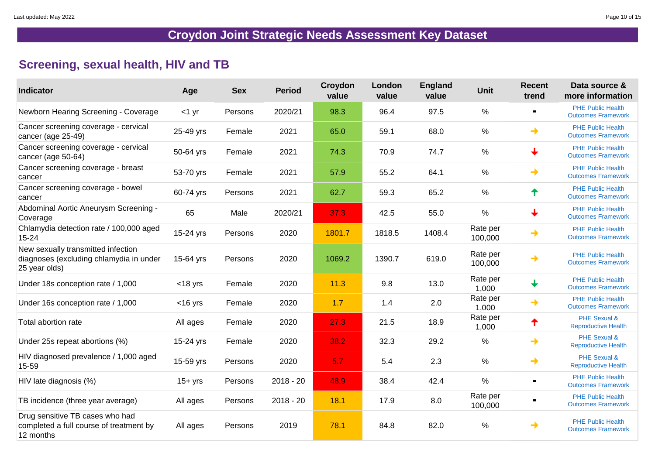### **Screening, sexual health, HIV and TB**

| <b>Indicator</b>                                                                               | Age        | <b>Sex</b> | <b>Period</b> | Croydon<br>value | London<br>value | <b>England</b><br>value | <b>Unit</b>         | <b>Recent</b><br>trend   | Data source &<br>more information                     |
|------------------------------------------------------------------------------------------------|------------|------------|---------------|------------------|-----------------|-------------------------|---------------------|--------------------------|-------------------------------------------------------|
| <b>Newborn Hearing Screening - Coverage</b>                                                    | $<$ 1 yr   | Persons    | 2020/21       | 98.3             | 96.4            | 97.5                    | $\frac{0}{0}$       | $\blacksquare$           | <b>PHE Public Health</b><br><b>Outcomes Framework</b> |
| Cancer screening coverage - cervical<br>cancer (age 25-49)                                     | 25-49 yrs  | Female     | 2021          | 65.0             | 59.1            | 68.0                    | %                   | ┪                        | <b>PHE Public Health</b><br><b>Outcomes Framework</b> |
| Cancer screening coverage - cervical<br>cancer (age 50-64)                                     | 50-64 yrs  | Female     | 2021          | 74.3             | 70.9            | 74.7                    | $\frac{0}{0}$       | $\biguplus$              | <b>PHE Public Health</b><br><b>Outcomes Framework</b> |
| Cancer screening coverage - breast<br>cancer                                                   | 53-70 yrs  | Female     | 2021          | 57.9             | 55.2            | 64.1                    | $\frac{0}{0}$       | ┪                        | <b>PHE Public Health</b><br><b>Outcomes Framework</b> |
| Cancer screening coverage - bowel<br>cancer                                                    | 60-74 yrs  | Persons    | 2021          | 62.7             | 59.3            | 65.2                    | $\frac{0}{0}$       | 个                        | <b>PHE Public Health</b><br><b>Outcomes Framework</b> |
| Abdominal Aortic Aneurysm Screening -<br>Coverage                                              | 65         | Male       | 2020/21       | 37.3             | 42.5            | 55.0                    | $\%$                | $\overline{\phantom{a}}$ | <b>PHE Public Health</b><br><b>Outcomes Framework</b> |
| Chlamydia detection rate / 100,000 aged<br>$15 - 24$                                           | 15-24 yrs  | Persons    | 2020          | 1801.7           | 1818.5          | 1408.4                  | Rate per<br>100,000 | ┪                        | <b>PHE Public Health</b><br><b>Outcomes Framework</b> |
| New sexually transmitted infection<br>diagnoses (excluding chlamydia in under<br>25 year olds) | 15-64 yrs  | Persons    | 2020          | 1069.2           | 1390.7          | 619.0                   | Rate per<br>100,000 | ┪                        | <b>PHE Public Health</b><br><b>Outcomes Framework</b> |
| Under 18s conception rate / 1,000                                                              | $<$ 18 yrs | Female     | 2020          | 11.3             | 9.8             | 13.0                    | Rate per<br>1,000   | $\biguparrow$            | <b>PHE Public Health</b><br><b>Outcomes Framework</b> |
| Under 16s conception rate / 1,000                                                              | $<$ 16 yrs | Female     | 2020          | 1.7              | 1.4             | 2.0                     | Rate per<br>1,000   | →                        | <b>PHE Public Health</b><br><b>Outcomes Framework</b> |
| Total abortion rate                                                                            | All ages   | Female     | 2020          | 27.3             | 21.5            | 18.9                    | Rate per<br>1,000   | Т                        | <b>PHE Sexual &amp;</b><br><b>Reproductive Health</b> |
| Under 25s repeat abortions (%)                                                                 | 15-24 yrs  | Female     | 2020          | 38.2             | 32.3            | 29.2                    | $\frac{0}{0}$       | →                        | <b>PHE Sexual &amp;</b><br><b>Reproductive Health</b> |
| HIV diagnosed prevalence / 1,000 aged<br>$15 - 59$                                             | 15-59 yrs  | Persons    | 2020          | 5.7              | 5.4             | 2.3                     | $\frac{0}{0}$       | →                        | <b>PHE Sexual &amp;</b><br><b>Reproductive Health</b> |
| HIV late diagnosis (%)                                                                         | $15 + yrs$ | Persons    | $2018 - 20$   | 48.9             | 38.4            | 42.4                    | $\frac{0}{0}$       | $\blacksquare$           | <b>PHE Public Health</b><br><b>Outcomes Framework</b> |
| TB incidence (three year average)                                                              | All ages   | Persons    | $2018 - 20$   | 18.1             | 17.9            | 8.0                     | Rate per<br>100,000 | $\blacksquare$           | <b>PHE Public Health</b><br><b>Outcomes Framework</b> |
| Drug sensitive TB cases who had<br>completed a full course of treatment by<br>12 months        | All ages   | Persons    | 2019          | 78.1             | 84.8            | 82.0                    | $\%$                | →                        | <b>PHE Public Health</b><br><b>Outcomes Framework</b> |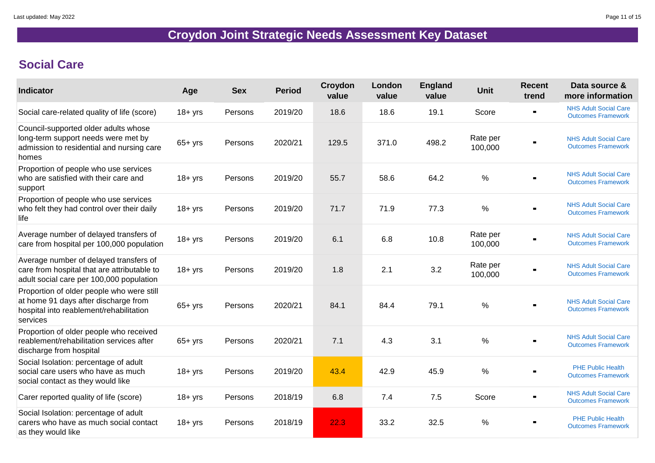## **Social Care**

| <b>Indicator</b>                                                                                                                         | Age        | <b>Sex</b> | <b>Period</b> | Croydon<br>value | London<br>value | <b>England</b><br>value | <b>Unit</b>         | <b>Recent</b><br>trend | Data source &<br>more information                         |
|------------------------------------------------------------------------------------------------------------------------------------------|------------|------------|---------------|------------------|-----------------|-------------------------|---------------------|------------------------|-----------------------------------------------------------|
| Social care-related quality of life (score)                                                                                              | 18+ yrs    | Persons    | 2019/20       | 18.6             | 18.6            | 19.1                    | Score               |                        | <b>NHS Adult Social Care</b><br><b>Outcomes Framework</b> |
| Council-supported older adults whose<br>long-term support needs were met by<br>admission to residential and nursing care<br>homes        | $65 + yrs$ | Persons    | 2020/21       | 129.5            | 371.0           | 498.2                   | Rate per<br>100,000 |                        | <b>NHS Adult Social Care</b><br><b>Outcomes Framework</b> |
| Proportion of people who use services<br>who are satisfied with their care and<br>support                                                | $18 + yrs$ | Persons    | 2019/20       | 55.7             | 58.6            | 64.2                    | $\%$                |                        | <b>NHS Adult Social Care</b><br><b>Outcomes Framework</b> |
| Proportion of people who use services<br>who felt they had control over their daily<br>life                                              | $18 + yrs$ | Persons    | 2019/20       | 71.7             | 71.9            | 77.3                    | $\%$                |                        | <b>NHS Adult Social Care</b><br><b>Outcomes Framework</b> |
| Average number of delayed transfers of<br>care from hospital per 100,000 population                                                      | $18 + yrs$ | Persons    | 2019/20       | 6.1              | 6.8             | 10.8                    | Rate per<br>100,000 | $\blacksquare$         | <b>NHS Adult Social Care</b><br><b>Outcomes Framework</b> |
| Average number of delayed transfers of<br>care from hospital that are attributable to<br>adult social care per 100,000 population        | $18 + yrs$ | Persons    | 2019/20       | 1.8              | 2.1             | 3.2                     | Rate per<br>100,000 | $\blacksquare$         | <b>NHS Adult Social Care</b><br><b>Outcomes Framework</b> |
| Proportion of older people who were still<br>at home 91 days after discharge from<br>hospital into reablement/rehabilitation<br>services | $65+yrs$   | Persons    | 2020/21       | 84.1             | 84.4            | 79.1                    | $\frac{0}{0}$       |                        | <b>NHS Adult Social Care</b><br><b>Outcomes Framework</b> |
| Proportion of older people who received<br>reablement/rehabilitation services after<br>discharge from hospital                           | $65+yrs$   | Persons    | 2020/21       | 7.1              | 4.3             | 3.1                     | $\frac{0}{0}$       |                        | <b>NHS Adult Social Care</b><br><b>Outcomes Framework</b> |
| Social Isolation: percentage of adult<br>social care users who have as much<br>social contact as they would like                         | $18 + yrs$ | Persons    | 2019/20       | 43.4             | 42.9            | 45.9                    | $\frac{0}{0}$       |                        | <b>PHE Public Health</b><br><b>Outcomes Framework</b>     |
| Carer reported quality of life (score)                                                                                                   | $18 + yrs$ | Persons    | 2018/19       | 6.8              | 7.4             | 7.5                     | Score               |                        | <b>NHS Adult Social Care</b><br><b>Outcomes Framework</b> |
| Social Isolation: percentage of adult<br>carers who have as much social contact<br>as they would like                                    | $18 + yrs$ | Persons    | 2018/19       | 22.3             | 33.2            | 32.5                    | $\frac{0}{0}$       |                        | <b>PHE Public Health</b><br><b>Outcomes Framework</b>     |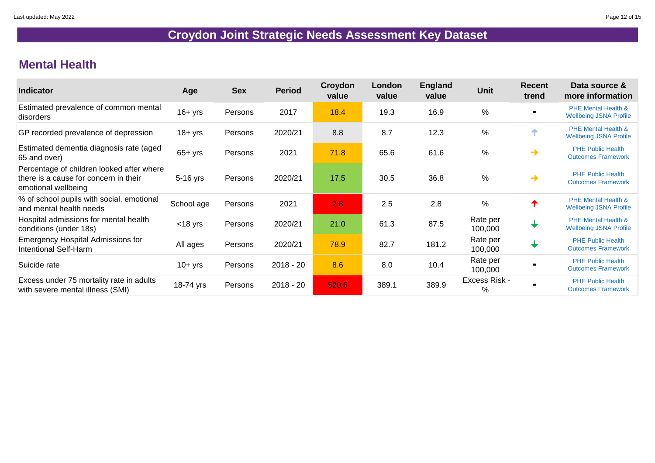### **Mental Health**

| <b>Indicator</b>                                                                                          | Age        | <b>Sex</b> | <b>Period</b> | Croydon<br>value | London<br>value | <b>England</b><br>value | <b>Unit</b>                           | <b>Recent</b><br>trend | Data source &<br>more information                               |
|-----------------------------------------------------------------------------------------------------------|------------|------------|---------------|------------------|-----------------|-------------------------|---------------------------------------|------------------------|-----------------------------------------------------------------|
| Estimated prevalence of common mental<br>disorders                                                        | $16 + yrs$ | Persons    | 2017          | 18.4             | 19.3            | 16.9                    | $\%$                                  |                        | <b>PHE Mental Health &amp;</b><br><b>Wellbeing JSNA Profile</b> |
| GP recorded prevalence of depression                                                                      | $18 + yrs$ | Persons    | 2020/21       | 8.8              | 8.7             | 12.3                    | $\frac{0}{0}$                         | ↑                      | <b>PHE Mental Health &amp;</b><br><b>Wellbeing JSNA Profile</b> |
| Estimated dementia diagnosis rate (aged<br>65 and over)                                                   | $65+yrs$   | Persons    | 2021          | 71.8             | 65.6            | 61.6                    | $\frac{0}{0}$                         | ┪                      | <b>PHE Public Health</b><br><b>Outcomes Framework</b>           |
| Percentage of children looked after where<br>there is a cause for concern in their<br>emotional wellbeing | 5-16 yrs   | Persons    | 2020/21       | 17.5             | 30.5            | 36.8                    | %                                     | ┪                      | <b>PHE Public Health</b><br><b>Outcomes Framework</b>           |
| % of school pupils with social, emotional<br>and mental health needs                                      | School age | Persons    | 2021          | 2.8              | 2.5             | 2.8                     | $\%$                                  | T                      | <b>PHE Mental Health &amp;</b><br><b>Wellbeing JSNA Profile</b> |
| Hospital admissions for mental health<br>conditions (under 18s)                                           | $<$ 18 yrs | Persons    | 2020/21       | 21.0             | 61.3            | 87.5                    | Rate per<br>100,000                   | $\biguplus$            | <b>PHE Mental Health &amp;</b><br><b>Wellbeing JSNA Profile</b> |
| <b>Emergency Hospital Admissions for</b><br><b>Intentional Self-Harm</b>                                  | All ages   | Persons    | 2020/21       | 78.9             | 82.7            | 181.2                   | Rate per<br>100,000                   | $\biguplus$            | <b>PHE Public Health</b><br><b>Outcomes Framework</b>           |
| Suicide rate                                                                                              | $10 + yrs$ | Persons    | $2018 - 20$   | 8.6              | 8.0             | 10.4                    | Rate per<br>100,000                   | $\blacksquare$         | <b>PHE Public Health</b><br><b>Outcomes Framework</b>           |
| Excess under 75 mortality rate in adults<br>with severe mental illness (SMI)                              | 18-74 yrs  | Persons    | $2018 - 20$   | 520.6            | 389.1           | 389.9                   | <b>Excess Risk -</b><br>$\frac{0}{0}$ | $\blacksquare$         | <b>PHE Public Health</b><br><b>Outcomes Framework</b>           |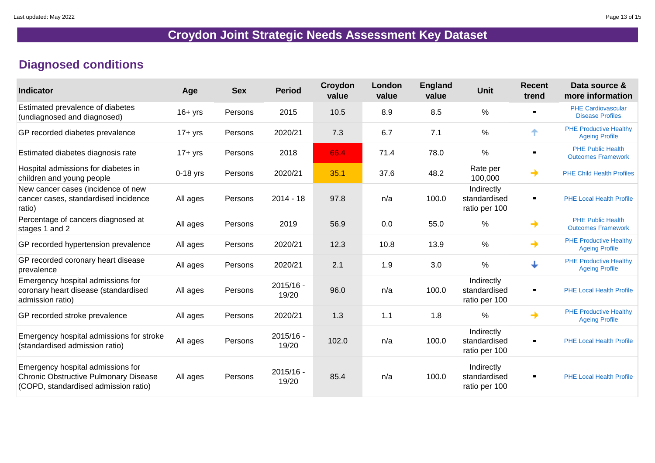### **Diagnosed conditions**

| <b>Indicator</b>                                                                                                          | Age        | <b>Sex</b> | <b>Period</b>        | Croydon<br>value | London<br>value | <b>England</b><br>value | <b>Unit</b>                                 | <b>Recent</b><br>trend | Data source &<br>more information                      |
|---------------------------------------------------------------------------------------------------------------------------|------------|------------|----------------------|------------------|-----------------|-------------------------|---------------------------------------------|------------------------|--------------------------------------------------------|
| Estimated prevalence of diabetes<br>(undiagnosed and diagnosed)                                                           | $16+$ yrs  | Persons    | 2015                 | 10.5             | 8.9             | 8.5                     | $\frac{0}{0}$                               | $\blacksquare$         | <b>PHE Cardiovascular</b><br><b>Disease Profiles</b>   |
| GP recorded diabetes prevalence                                                                                           | $17 + yrs$ | Persons    | 2020/21              | 7.3              | 6.7             | 7.1                     | $\frac{0}{0}$                               | ✦                      | <b>PHE Productive Healthy</b><br><b>Ageing Profile</b> |
| Estimated diabetes diagnosis rate                                                                                         | $17 + yrs$ | Persons    | 2018                 | 66.4             | 71.4            | 78.0                    | $\%$                                        |                        | <b>PHE Public Health</b><br><b>Outcomes Framework</b>  |
| Hospital admissions for diabetes in<br>children and young people                                                          | $0-18$ yrs | Persons    | 2020/21              | 35.1             | 37.6            | 48.2                    | Rate per<br>100,000                         | $\rightarrow$          | <b>PHE Child Health Profiles</b>                       |
| New cancer cases (incidence of new<br>cancer cases, standardised incidence<br>ratio)                                      | All ages   | Persons    | $2014 - 18$          | 97.8             | n/a             | 100.0                   | Indirectly<br>standardised<br>ratio per 100 | $\blacksquare$         | <b>PHE Local Health Profile</b>                        |
| Percentage of cancers diagnosed at<br>stages 1 and 2                                                                      | All ages   | Persons    | 2019                 | 56.9             | 0.0             | 55.0                    | $\frac{0}{0}$                               | $\rightarrow$          | <b>PHE Public Health</b><br><b>Outcomes Framework</b>  |
| GP recorded hypertension prevalence                                                                                       | All ages   | Persons    | 2020/21              | 12.3             | 10.8            | 13.9                    | $\frac{0}{0}$                               | $\rightarrow$          | <b>PHE Productive Healthy</b><br><b>Ageing Profile</b> |
| GP recorded coronary heart disease<br>prevalence                                                                          | All ages   | Persons    | 2020/21              | 2.1              | 1.9             | 3.0                     | $\frac{0}{0}$                               | $\downarrow$           | <b>PHE Productive Healthy</b><br><b>Ageing Profile</b> |
| Emergency hospital admissions for<br>coronary heart disease (standardised<br>admission ratio)                             | All ages   | Persons    | $2015/16 -$<br>19/20 | 96.0             | n/a             | 100.0                   | Indirectly<br>standardised<br>ratio per 100 | $\blacksquare$         | <b>PHE Local Health Profile</b>                        |
| GP recorded stroke prevalence                                                                                             | All ages   | Persons    | 2020/21              | 1.3              | 1.1             | 1.8                     | $\%$                                        | $\rightarrow$          | <b>PHE Productive Healthy</b><br><b>Ageing Profile</b> |
| Emergency hospital admissions for stroke<br>(standardised admission ratio)                                                | All ages   | Persons    | $2015/16 -$<br>19/20 | 102.0            | n/a             | 100.0                   | Indirectly<br>standardised<br>ratio per 100 | $\blacksquare$         | <b>PHE Local Health Profile</b>                        |
| Emergency hospital admissions for<br><b>Chronic Obstructive Pulmonary Disease</b><br>(COPD, standardised admission ratio) | All ages   | Persons    | $2015/16 -$<br>19/20 | 85.4             | n/a             | 100.0                   | Indirectly<br>standardised<br>ratio per 100 | $\blacksquare$         | <b>PHE Local Health Profile</b>                        |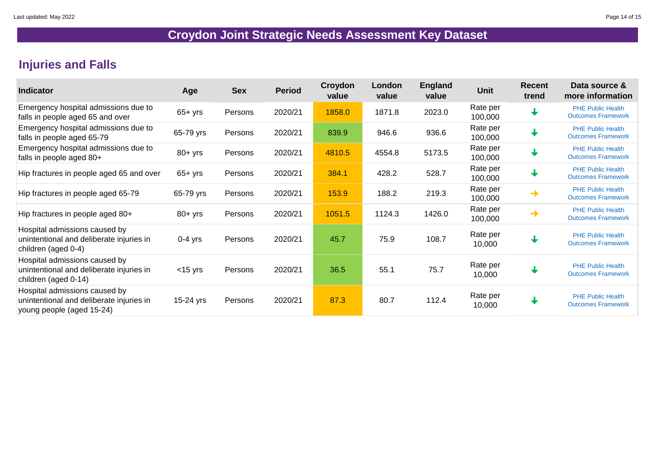### **Injuries and Falls**

| <b>Indicator</b>                                                                                       | Age         | <b>Sex</b> | <b>Period</b> | Croydon<br>value | London<br>value | <b>England</b><br>value | <b>Unit</b>         | <b>Recent</b><br>trend | Data source &<br>more information                     |
|--------------------------------------------------------------------------------------------------------|-------------|------------|---------------|------------------|-----------------|-------------------------|---------------------|------------------------|-------------------------------------------------------|
| Emergency hospital admissions due to<br>falls in people aged 65 and over                               | $65 + yrs$  | Persons    | 2020/21       | 1858.0           | 1871.8          | 2023.0                  | Rate per<br>100,000 | $\downarrow$           | <b>PHE Public Health</b><br><b>Outcomes Framework</b> |
| Emergency hospital admissions due to<br>falls in people aged 65-79                                     | 65-79 yrs   | Persons    | 2020/21       | 839.9            | 946.6           | 936.6                   | Rate per<br>100,000 | $\biguplus$            | <b>PHE Public Health</b><br><b>Outcomes Framework</b> |
| Emergency hospital admissions due to<br>falls in people aged 80+                                       | $80 + yrs$  | Persons    | 2020/21       | 4810.5           | 4554.8          | 5173.5                  | Rate per<br>100,000 | $\downarrow$           | <b>PHE Public Health</b><br><b>Outcomes Framework</b> |
| Hip fractures in people aged 65 and over                                                               | 65+ yrs     | Persons    | 2020/21       | 384.1            | 428.2           | 528.7                   | Rate per<br>100,000 | $\downarrow$           | <b>PHE Public Health</b><br><b>Outcomes Framework</b> |
| Hip fractures in people aged 65-79                                                                     | 65-79 yrs   | Persons    | 2020/21       | 153.9            | 188.2           | 219.3                   | Rate per<br>100,000 | →                      | <b>PHE Public Health</b><br><b>Outcomes Framework</b> |
| Hip fractures in people aged 80+                                                                       | $80 + yrs$  | Persons    | 2020/21       | 1051.5           | 1124.3          | 1426.0                  | Rate per<br>100,000 | ┪                      | <b>PHE Public Health</b><br><b>Outcomes Framework</b> |
| Hospital admissions caused by<br>unintentional and deliberate injuries in<br>children (aged 0-4)       | $0-4$ yrs   | Persons    | 2020/21       | 45.7             | 75.9            | 108.7                   | Rate per<br>10,000  | $\biguplus$            | <b>PHE Public Health</b><br><b>Outcomes Framework</b> |
| Hospital admissions caused by<br>unintentional and deliberate injuries in<br>children (aged 0-14)      | $<$ 15 yrs  | Persons    | 2020/21       | 36.5             | 55.1            | 75.7                    | Rate per<br>10,000  |                        | <b>PHE Public Health</b><br><b>Outcomes Framework</b> |
| Hospital admissions caused by<br>unintentional and deliberate injuries in<br>young people (aged 15-24) | $15-24$ yrs | Persons    | 2020/21       | 87.3             | 80.7            | 112.4                   | Rate per<br>10,000  | $\downarrow$           | <b>PHE Public Health</b><br><b>Outcomes Framework</b> |